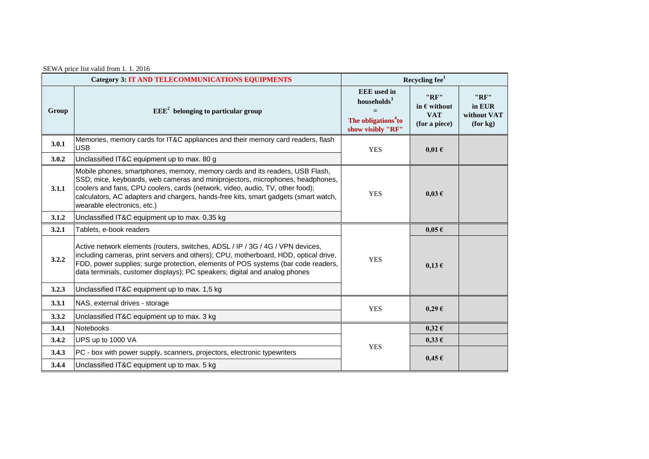| SEWA price list valid from 1.1.2016 |  |  |  |  |  |  |  |
|-------------------------------------|--|--|--|--|--|--|--|
|-------------------------------------|--|--|--|--|--|--|--|

| <b>Category 3: IT AND TELECOMMUNICATIONS EQUIPMENTS</b> |                                                                                                                                                                                                                                                                                                                                                                       | Recycling $fee1$                                                                                      |                                                              |                                           |  |
|---------------------------------------------------------|-----------------------------------------------------------------------------------------------------------------------------------------------------------------------------------------------------------------------------------------------------------------------------------------------------------------------------------------------------------------------|-------------------------------------------------------------------------------------------------------|--------------------------------------------------------------|-------------------------------------------|--|
| Group                                                   | $EEE2$ belonging to particular group                                                                                                                                                                                                                                                                                                                                  | <b>EEE</b> used in<br>households <sup>3</sup><br>The obligations <sup>4</sup> to<br>show visibly "RF" | "RF"<br>in $\epsilon$ without<br><b>VAT</b><br>(for a piece) | "RF"<br>in EUR<br>without VAT<br>(for kg) |  |
| 3.0.1                                                   | Memories, memory cards for IT&C appliances and their memory card readers, flash<br><b>USB</b>                                                                                                                                                                                                                                                                         | <b>YES</b>                                                                                            | $0,01 \in$                                                   |                                           |  |
| 3.0.2                                                   | Unclassified IT&C equipment up to max. 80 g                                                                                                                                                                                                                                                                                                                           |                                                                                                       |                                                              |                                           |  |
| 3.1.1                                                   | Mobile phones, smartphones, memory, memory cards and its readers, USB Flash,<br>SSD; mice, keyboards, web cameras and miniprojectors, microphones, headphones,<br>coolers and fans, CPU coolers, cards (network, video, audio, TV, other food);<br>calculators, AC adapters and chargers, hands-free kits, smart gadgets (smart watch,<br>wearable electronics, etc.) | <b>YES</b>                                                                                            | $0.03 \in$                                                   |                                           |  |
| 3.1.2                                                   | Unclassified IT&C equipment up to max. 0,35 kg                                                                                                                                                                                                                                                                                                                        |                                                                                                       |                                                              |                                           |  |
| 3.2.1                                                   | Tablets, e-book readers                                                                                                                                                                                                                                                                                                                                               |                                                                                                       | $0,05 \in$                                                   |                                           |  |
| 3.2.2                                                   | Active network elements (routers, switches, ADSL / IP / 3G / 4G / VPN devices,<br>including cameras, print servers and others); CPU, motherboard, HDD, optical drive,<br>FDD, power supplies; surge protection, elements of POS systems (bar code readers,<br>data terminals, customer displays); PC speakers; digital and analog phones                              | <b>YES</b>                                                                                            | $0,13 \in$                                                   |                                           |  |
| 3.2.3                                                   | Unclassified IT&C equipment up to max. 1,5 kg                                                                                                                                                                                                                                                                                                                         |                                                                                                       |                                                              |                                           |  |
| 3.3.1                                                   | NAS, external drives - storage                                                                                                                                                                                                                                                                                                                                        | <b>YES</b>                                                                                            | $0,29 \in$                                                   |                                           |  |
| 3.3.2                                                   | Unclassified IT&C equipment up to max. 3 kg                                                                                                                                                                                                                                                                                                                           |                                                                                                       |                                                              |                                           |  |
| 3.4.1                                                   | Notebooks                                                                                                                                                                                                                                                                                                                                                             |                                                                                                       | $0,32 \in$                                                   |                                           |  |
| 3.4.2                                                   | UPS up to 1000 VA                                                                                                                                                                                                                                                                                                                                                     | <b>YES</b>                                                                                            | $0,33 \in$                                                   |                                           |  |
| 3.4.3                                                   | PC - box with power supply, scanners, projectors, electronic typewriters                                                                                                                                                                                                                                                                                              |                                                                                                       | $0,45 \in$                                                   |                                           |  |
| 3.4.4                                                   | Unclassified IT&C equipment up to max. 5 kg                                                                                                                                                                                                                                                                                                                           |                                                                                                       |                                                              |                                           |  |